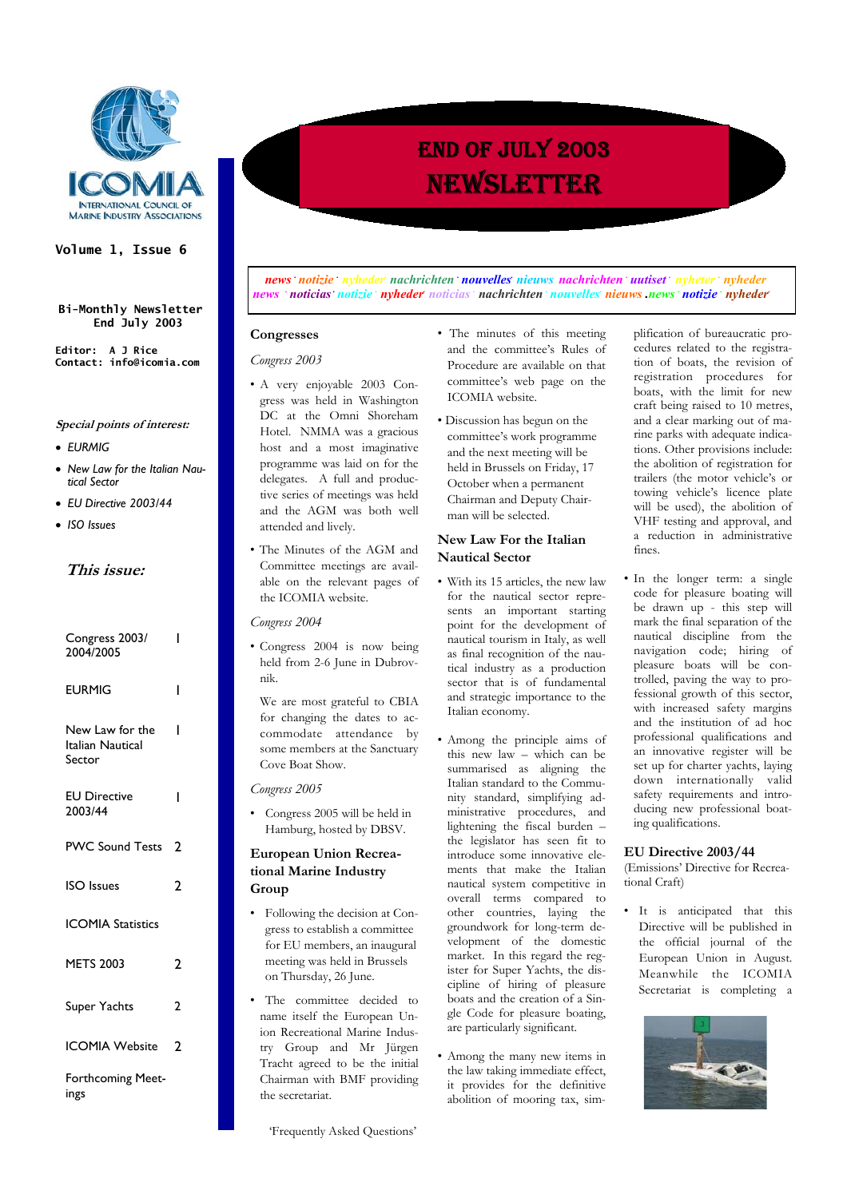

### **Volume 1, Issue 6**

**Bi-Monthly Newsletter End July 2003**

**Editor: A J Rice Contact: info@icomia.com** 

### **Special points of interest:**

- *EURMIG*
- *New Law for the Italian Nautical Sector*
- *EU Directive 2003/44*
- *ISO Issues*

# **This issue:**

| Congress 2003/<br>2004/2005                   | ı              |
|-----------------------------------------------|----------------|
| EURMIG                                        | ı              |
| New Law for the<br>Italian Nautical<br>Sector | ı              |
| <b>EU Directive</b><br>2003/44                | ı              |
| <b>PWC Sound Tests</b>                        | 2              |
| <b>ISO</b> Issues                             | າ              |
| <b>ICOMIA Statistics</b>                      |                |
| <b>METS 2003</b>                              | 2              |
| Super Yachts                                  | $\overline{2}$ |
| <b>ICOMIA Website</b>                         | າ              |
| Forthcoming Meet-<br>ings                     |                |

*news notizie nyheder nachrichten <b>nouvelles nieuws nachrichten uutiset nyheter nyheder news bilically <i>notizie nyheder noticias achrichten nouvelles nieuws news notizie inyheder nyheder* 

### **Congresses**

### *Congress 2003*

- A very enjoyable 2003 Congress was held in Washington DC at the Omni Shoreham Hotel. NMMA was a gracious host and a most imaginative programme was laid on for the delegates. A full and productive series of meetings was held and the AGM was both well attended and lively.
- The Minutes of the AGM and Committee meetings are available on the relevant pages of the ICOMIA website.

*Congress 2004* 

• Congress 2004 is now being held from 2-6 June in Dubrovnik.

 We are most grateful to CBIA for changing the dates to accommodate attendance by some members at the Sanctuary Cove Boat Show.

*Congress 2005* 

• Congress 2005 will be held in Hamburg, hosted by DBSV.

### **European Union Recreational Marine Industry Group**

- Following the decision at Congress to establish a committee for EU members, an inaugural meeting was held in Brussels on Thursday, 26 June.
- The committee decided to name itself the European Union Recreational Marine Industry Group and Mr Jürgen Tracht agreed to be the initial Chairman with BMF providing the secretariat.

'Frequently Asked Questions'

- The minutes of this meeting and the committee's Rules of Procedure are available on that committee's web page on the ICOMIA website.
- Discussion has begun on the committee's work programme and the next meeting will be held in Brussels on Friday, 17 October when a permanent Chairman and Deputy Chairman will be selected.

# **New Law For the Italian Nautical Sector**

- With its 15 articles, the new law for the nautical sector represents an important starting point for the development of nautical tourism in Italy, as well as final recognition of the nautical industry as a production sector that is of fundamental and strategic importance to the Italian economy.
- Among the principle aims of this new law – which can be summarised as aligning the Italian standard to the Community standard, simplifying administrative procedures, and lightening the fiscal burden – the legislator has seen fit to introduce some innovative elements that make the Italian nautical system competitive in overall terms compared to other countries, laying the groundwork for long-term development of the domestic market. In this regard the register for Super Yachts, the discipline of hiring of pleasure boats and the creation of a Single Code for pleasure boating, are particularly significant.
- Among the many new items in the law taking immediate effect, it provides for the definitive abolition of mooring tax, sim-

plification of bureaucratic procedures related to the registration of boats, the revision of registration procedures for boats, with the limit for new craft being raised to 10 metres, and a clear marking out of marine parks with adequate indications. Other provisions include: the abolition of registration for trailers (the motor vehicle's or towing vehicle's licence plate will be used), the abolition of VHF testing and approval, and a reduction in administrative fines.

• In the longer term: a single code for pleasure boating will be drawn up - this step will mark the final separation of the nautical discipline from the navigation code; hiring of pleasure boats will be controlled, paving the way to professional growth of this sector, with increased safety margins and the institution of ad hoc professional qualifications and an innovative register will be set up for charter yachts, laying down internationally valid safety requirements and introducing new professional boating qualifications.

### **EU Directive 2003/44**

(Emissions' Directive for Recreational Craft)

It is anticipated that this Directive will be published in the official journal of the European Union in August. Meanwhile the ICOMIA Secretariat is completing a



# END OF JULY 2003 NEWSLETTER